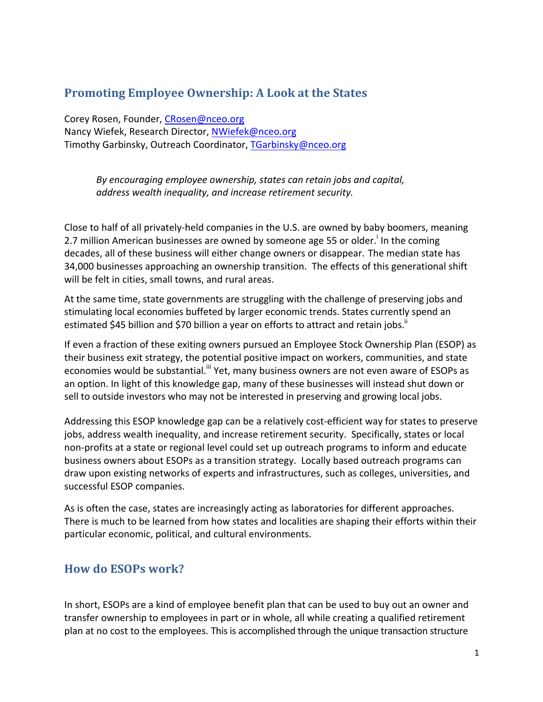#### **Promoting Employee Ownership: A Look at the States**

Corey Rosen, Founder, CRosen@nceo.org Nancy Wiefek, Research Director, NWiefek@nceo.org Timothy Garbinsky, Outreach Coordinator, TGarbinsky@nceo.org

> By encouraging employee ownership, states can retain jobs and capital, *address* wealth inequality, and increase retirement security.

Close to half of all privately-held companies in the U.S. are owned by baby boomers, meaning 2.7 million American businesses are owned by someone age 55 or older.<sup>i</sup> In the coming decades, all of these business will either change owners or disappear. The median state has 34,000 businesses approaching an ownership transition. The effects of this generational shift will be felt in cities, small towns, and rural areas.

At the same time, state governments are struggling with the challenge of preserving jobs and stimulating local economies buffeted by larger economic trends. States currently spend an estimated \$45 billion and \$70 billion a year on efforts to attract and retain jobs."

If even a fraction of these exiting owners pursued an Employee Stock Ownership Plan (ESOP) as their business exit strategy, the potential positive impact on workers, communities, and state economies would be substantial.<sup>iii</sup> Yet, many business owners are not even aware of ESOPs as an option. In light of this knowledge gap, many of these businesses will instead shut down or sell to outside investors who may not be interested in preserving and growing local jobs.

Addressing this ESOP knowledge gap can be a relatively cost-efficient way for states to preserve jobs, address wealth inequality, and increase retirement security. Specifically, states or local non-profits at a state or regional level could set up outreach programs to inform and educate business owners about ESOPs as a transition strategy. Locally based outreach programs can draw upon existing networks of experts and infrastructures, such as colleges, universities, and successful ESOP companies.

As is often the case, states are increasingly acting as laboratories for different approaches. There is much to be learned from how states and localities are shaping their efforts within their particular economic, political, and cultural environments.

## **How do ESOPs work?**

In short, ESOPs are a kind of employee benefit plan that can be used to buy out an owner and transfer ownership to employees in part or in whole, all while creating a qualified retirement plan at no cost to the employees. This is accomplished through the unique transaction structure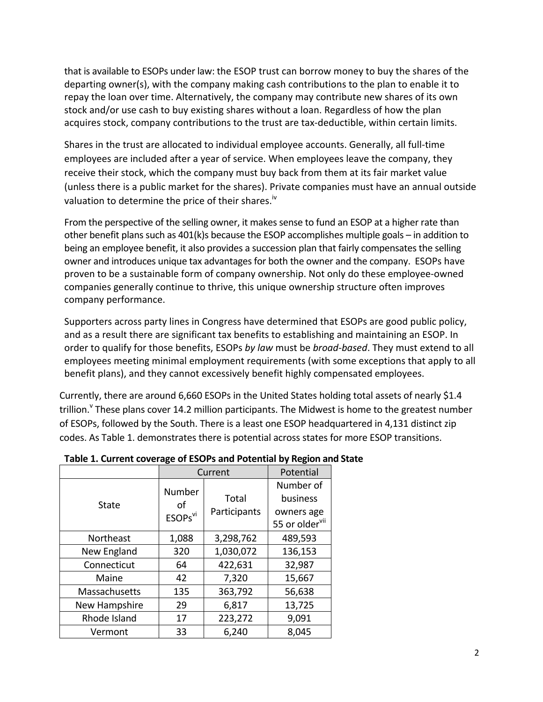that is available to ESOPs under law: the ESOP trust can borrow money to buy the shares of the departing owner(s), with the company making cash contributions to the plan to enable it to repay the loan over time. Alternatively, the company may contribute new shares of its own stock and/or use cash to buy existing shares without a loan. Regardless of how the plan acquires stock, company contributions to the trust are tax-deductible, within certain limits.

Shares in the trust are allocated to individual employee accounts. Generally, all full-time employees are included after a year of service. When employees leave the company, they receive their stock, which the company must buy back from them at its fair market value (unless there is a public market for the shares). Private companies must have an annual outside valuation to determine the price of their shares.<sup>iv</sup>

From the perspective of the selling owner, it makes sense to fund an ESOP at a higher rate than other benefit plans such as  $401(k)s$  because the ESOP accomplishes multiple goals – in addition to being an employee benefit, it also provides a succession plan that fairly compensates the selling owner and introduces unique tax advantages for both the owner and the company. ESOPs have proven to be a sustainable form of company ownership. Not only do these employee-owned companies generally continue to thrive, this unique ownership structure often improves company performance.

Supporters across party lines in Congress have determined that ESOPs are good public policy, and as a result there are significant tax benefits to establishing and maintaining an ESOP. In order to qualify for those benefits, ESOPs by law must be broad-based. They must extend to all employees meeting minimal employment requirements (with some exceptions that apply to all benefit plans), and they cannot excessively benefit highly compensated employees.

Currently, there are around  $6,660$  ESOPs in the United States holding total assets of nearly \$1.4 trillion.<sup>V</sup> These plans cover 14.2 million participants. The Midwest is home to the greatest number of ESOPs, followed by the South. There is a least one ESOP headquartered in 4,131 distinct zip codes. As Table 1. demonstrates there is potential across states for more ESOP transitions.

|                  | Current                                    |                       | Potential                                                         |
|------------------|--------------------------------------------|-----------------------|-------------------------------------------------------------------|
| <b>State</b>     | <b>Number</b><br>οf<br>ESOPs <sup>vi</sup> | Total<br>Participants | Number of<br>business<br>owners age<br>55 or older <sup>vii</sup> |
| <b>Northeast</b> | 1,088                                      | 3,298,762             | 489,593                                                           |
| New England      | 320                                        | 1,030,072             | 136,153                                                           |
| Connecticut      | 64                                         | 422,631               | 32,987                                                            |
| Maine            | 42                                         | 7,320                 | 15,667                                                            |
| Massachusetts    | 135                                        | 363,792               | 56,638                                                            |
| New Hampshire    | 29                                         | 6,817                 | 13,725                                                            |
| Rhode Island     | 17                                         | 223,272               | 9,091                                                             |
| Vermont          | 33                                         | 6,240                 | 8,045                                                             |

#### **Table 1. Current coverage of ESOPs and Potential by Region and State**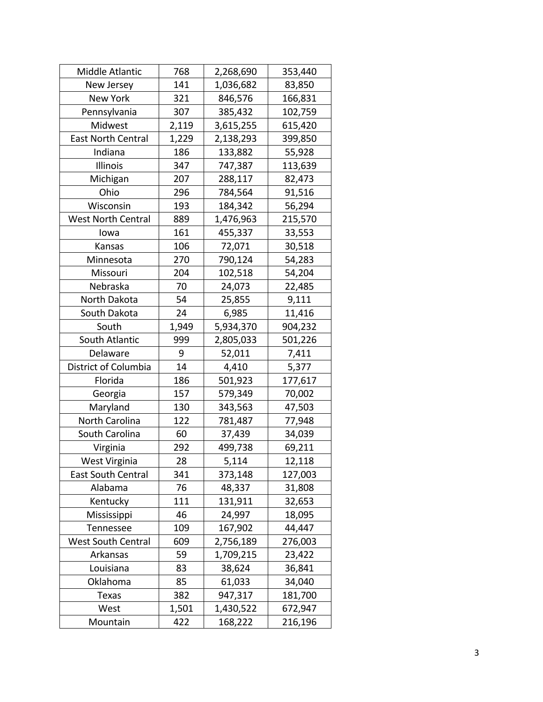| Middle Atlantic           | 768   | 2,268,690 | 353,440 |
|---------------------------|-------|-----------|---------|
| New Jersey                | 141   | 1,036,682 | 83,850  |
| New York                  | 321   | 846,576   | 166,831 |
| Pennsylvania              | 307   | 385,432   | 102,759 |
| Midwest                   | 2,119 | 3,615,255 | 615,420 |
| <b>East North Central</b> | 1,229 | 2,138,293 | 399,850 |
| Indiana                   | 186   | 133,882   | 55,928  |
| Illinois                  | 347   | 747,387   | 113,639 |
| Michigan                  | 207   | 288,117   | 82,473  |
| Ohio                      | 296   | 784,564   | 91,516  |
| Wisconsin                 | 193   | 184,342   | 56,294  |
| <b>West North Central</b> | 889   | 1,476,963 | 215,570 |
| lowa                      | 161   | 455,337   | 33,553  |
| Kansas                    | 106   | 72,071    | 30,518  |
| Minnesota                 | 270   | 790,124   | 54,283  |
| Missouri                  | 204   | 102,518   | 54,204  |
| Nebraska                  | 70    | 24,073    | 22,485  |
| North Dakota              | 54    | 25,855    | 9,111   |
| South Dakota              | 24    | 6,985     | 11,416  |
| South                     | 1,949 | 5,934,370 | 904,232 |
| South Atlantic            | 999   | 2,805,033 | 501,226 |
| Delaware                  | 9     | 52,011    | 7,411   |
| District of Columbia      | 14    | 4,410     | 5,377   |
| Florida                   | 186   | 501,923   | 177,617 |
| Georgia                   | 157   | 579,349   | 70,002  |
| Maryland                  | 130   | 343,563   | 47,503  |
| North Carolina            | 122   | 781,487   | 77,948  |
| South Carolina            | 60    | 37,439    | 34,039  |
| Virginia                  | 292   | 499,738   | 69,211  |
| West Virginia             | 28    | 5,114     | 12,118  |
| <b>East South Central</b> | 341   | 373,148   | 127,003 |
| Alabama                   | 76    | 48,337    | 31,808  |
| Kentucky                  | 111   | 131,911   | 32,653  |
| Mississippi               | 46    | 24,997    | 18,095  |
| Tennessee                 | 109   | 167,902   | 44,447  |
| West South Central        | 609   | 2,756,189 | 276,003 |
| Arkansas                  | 59    | 1,709,215 | 23,422  |
| Louisiana                 | 83    | 38,624    | 36,841  |
| Oklahoma                  | 85    | 61,033    | 34,040  |
| Texas                     | 382   | 947,317   | 181,700 |
| West                      | 1,501 | 1,430,522 | 672,947 |
| Mountain                  | 422   | 168,222   | 216,196 |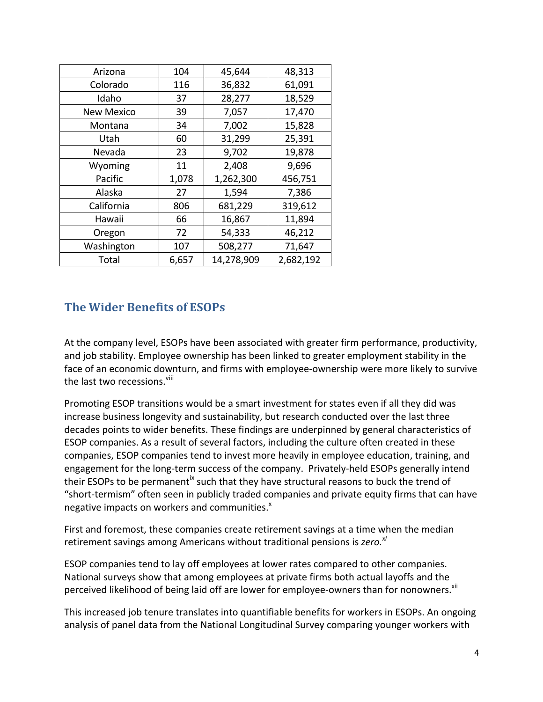| Arizona           | 104   | 45,644     | 48,313    |
|-------------------|-------|------------|-----------|
| Colorado          | 116   | 36,832     | 61,091    |
| Idaho             | 37    | 28,277     | 18,529    |
| <b>New Mexico</b> | 39    | 7,057      | 17,470    |
| Montana           | 34    | 7,002      | 15,828    |
| Utah              | 60    | 31,299     | 25,391    |
| Nevada            | 23    | 9,702      | 19,878    |
| Wyoming           | 11    | 2,408      | 9,696     |
| Pacific           | 1,078 | 1,262,300  | 456,751   |
| Alaska            | 27    | 1,594      | 7,386     |
| California        | 806   | 681,229    | 319,612   |
| Hawaii            | 66    | 16,867     | 11,894    |
| Oregon            | 72    | 54,333     | 46,212    |
| Washington        | 107   | 508,277    | 71,647    |
| Total             | 6,657 | 14,278,909 | 2,682,192 |

## **The Wider Benefits of ESOPs**

At the company level, ESOPs have been associated with greater firm performance, productivity, and job stability. Employee ownership has been linked to greater employment stability in the face of an economic downturn, and firms with employee-ownership were more likely to survive the last two recessions.<sup>viii</sup>

Promoting ESOP transitions would be a smart investment for states even if all they did was increase business longevity and sustainability, but research conducted over the last three decades points to wider benefits. These findings are underpinned by general characteristics of ESOP companies. As a result of several factors, including the culture often created in these companies, ESOP companies tend to invest more heavily in employee education, training, and engagement for the long-term success of the company. Privately-held ESOPs generally intend their ESOPs to be permanent<sup>ix</sup> such that they have structural reasons to buck the trend of "short-termism" often seen in publicly traded companies and private equity firms that can have negative impacts on workers and communities.<sup>x</sup>

First and foremost, these companies create retirement savings at a time when the median retirement savings among Americans without traditional pensions is zero.<sup>xi</sup>

ESOP companies tend to lay off employees at lower rates compared to other companies. National surveys show that among employees at private firms both actual layoffs and the perceived likelihood of being laid off are lower for employee-owners than for nonowners.<sup>xii</sup>

This increased job tenure translates into quantifiable benefits for workers in ESOPs. An ongoing analysis of panel data from the National Longitudinal Survey comparing younger workers with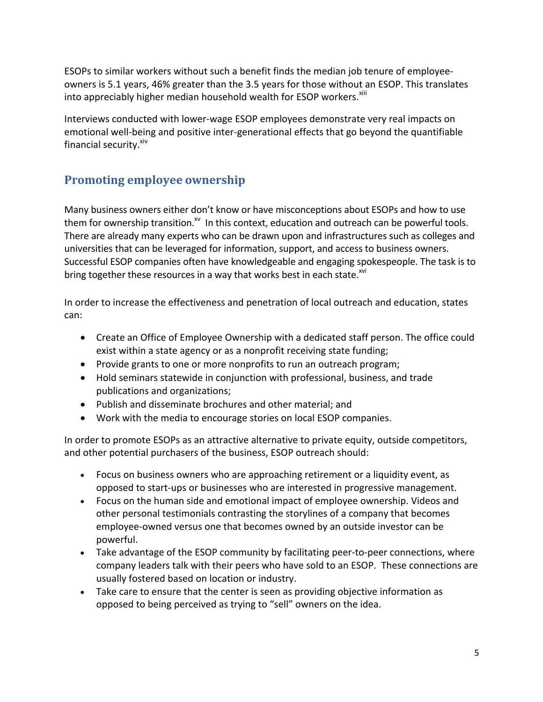ESOPs to similar workers without such a benefit finds the median job tenure of employeeowners is 5.1 years, 46% greater than the 3.5 years for those without an ESOP. This translates into appreciably higher median household wealth for ESOP workers.<sup>xiii</sup>

Interviews conducted with lower-wage ESOP employees demonstrate very real impacts on emotional well-being and positive inter-generational effects that go beyond the quantifiable financial security.<sup>xiv</sup>

# **Promoting employee ownership**

Many business owners either don't know or have misconceptions about ESOPs and how to use them for ownership transition. $^{xV}$  In this context, education and outreach can be powerful tools. There are already many experts who can be drawn upon and infrastructures such as colleges and universities that can be leveraged for information, support, and access to business owners. Successful ESOP companies often have knowledgeable and engaging spokespeople. The task is to bring together these resources in a way that works best in each state.<sup>XVI</sup>

In order to increase the effectiveness and penetration of local outreach and education, states can: 

- Create an Office of Employee Ownership with a dedicated staff person. The office could exist within a state agency or as a nonprofit receiving state funding;
- Provide grants to one or more nonprofits to run an outreach program;
- Hold seminars statewide in conjunction with professional, business, and trade publications and organizations;
- Publish and disseminate brochures and other material; and
- Work with the media to encourage stories on local ESOP companies.

In order to promote ESOPs as an attractive alternative to private equity, outside competitors, and other potential purchasers of the business, ESOP outreach should:

- Focus on business owners who are approaching retirement or a liquidity event, as opposed to start-ups or businesses who are interested in progressive management.
- Focus on the human side and emotional impact of employee ownership. Videos and other personal testimonials contrasting the storylines of a company that becomes employee-owned versus one that becomes owned by an outside investor can be powerful.
- Take advantage of the ESOP community by facilitating peer-to-peer connections, where company leaders talk with their peers who have sold to an ESOP. These connections are usually fostered based on location or industry.
- Take care to ensure that the center is seen as providing objective information as opposed to being perceived as trying to "sell" owners on the idea.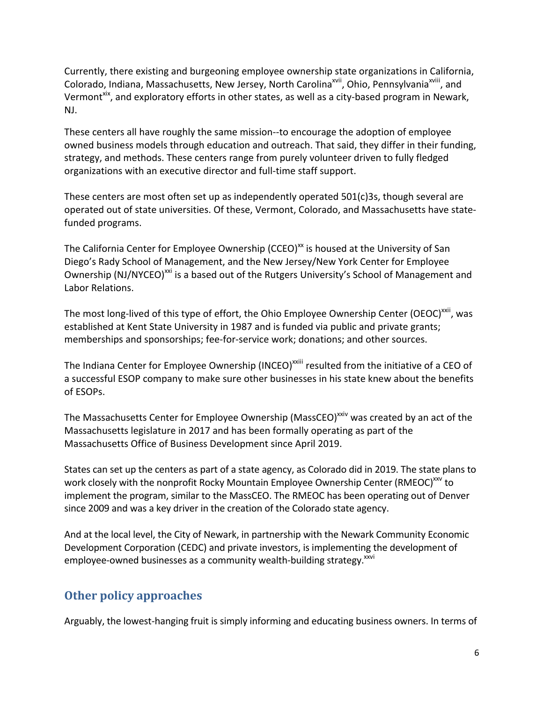Currently, there existing and burgeoning employee ownership state organizations in California, Colorado, Indiana, Massachusetts, New Jersey, North Carolina<sup>xvii</sup>, Ohio, Pennsylvania<sup>xviii</sup>, and Vermont<sup>xix</sup>, and exploratory efforts in other states, as well as a city-based program in Newark, NJ.

These centers all have roughly the same mission--to encourage the adoption of employee owned business models through education and outreach. That said, they differ in their funding, strategy, and methods. These centers range from purely volunteer driven to fully fledged organizations with an executive director and full-time staff support.

These centers are most often set up as independently operated  $501(c)3s$ , though several are operated out of state universities. Of these, Vermont, Colorado, and Massachusetts have statefunded programs.

The California Center for Employee Ownership (CCEO)<sup>xx</sup> is housed at the University of San Diego's Rady School of Management, and the New Jersey/New York Center for Employee Ownership (NJ/NYCEO)<sup>xxi</sup> is a based out of the Rutgers University's School of Management and Labor Relations.

The most long-lived of this type of effort, the Ohio Employee Ownership Center (OEOC)<sup>xxii</sup>, was established at Kent State University in 1987 and is funded via public and private grants; memberships and sponsorships; fee-for-service work; donations; and other sources.

The Indiana Center for Employee Ownership (INCEO)<sup>xxiii</sup> resulted from the initiative of a CEO of a successful ESOP company to make sure other businesses in his state knew about the benefits of ESOPs.

The Massachusetts Center for Employee Ownership (MassCEO)<sup> $xiv$ </sup> was created by an act of the Massachusetts legislature in 2017 and has been formally operating as part of the Massachusetts Office of Business Development since April 2019.

States can set up the centers as part of a state agency, as Colorado did in 2019. The state plans to work closely with the nonprofit Rocky Mountain Employee Ownership Center (RMEOC)<sup>xxv</sup> to implement the program, similar to the MassCEO. The RMEOC has been operating out of Denver since 2009 and was a key driver in the creation of the Colorado state agency.

And at the local level, the City of Newark, in partnership with the Newark Community Economic Development Corporation (CEDC) and private investors, is implementing the development of employee-owned businesses as a community wealth-building strategy.<sup>xxvi</sup>

# **Other policy approaches**

Arguably, the lowest-hanging fruit is simply informing and educating business owners. In terms of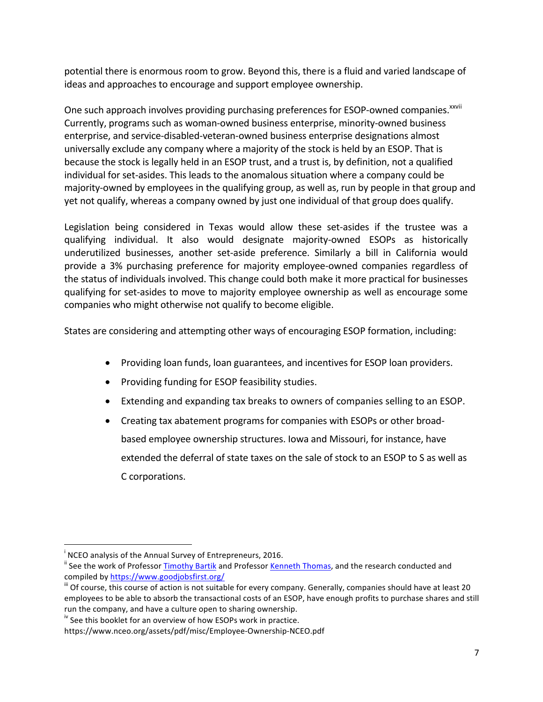potential there is enormous room to grow. Beyond this, there is a fluid and varied landscape of ideas and approaches to encourage and support employee ownership.

One such approach involves providing purchasing preferences for ESOP-owned companies.<sup>xxvii</sup> Currently, programs such as woman-owned business enterprise, minority-owned business enterprise, and service-disabled-veteran-owned business enterprise designations almost universally exclude any company where a majority of the stock is held by an ESOP. That is because the stock is legally held in an ESOP trust, and a trust is, by definition, not a qualified individual for set-asides. This leads to the anomalous situation where a company could be majority-owned by employees in the qualifying group, as well as, run by people in that group and yet not qualify, whereas a company owned by just one individual of that group does qualify.

Legislation being considered in Texas would allow these set-asides if the trustee was a qualifying individual. It also would designate majority-owned ESOPs as historically underutilized businesses, another set-aside preference. Similarly a bill in California would provide a 3% purchasing preference for majority employee-owned companies regardless of the status of individuals involved. This change could both make it more practical for businesses qualifying for set-asides to move to majority employee ownership as well as encourage some companies who might otherwise not qualify to become eligible.

States are considering and attempting other ways of encouraging ESOP formation, including:

- Providing loan funds, loan guarantees, and incentives for ESOP loan providers.
- Providing funding for ESOP feasibility studies.
- Extending and expanding tax breaks to owners of companies selling to an ESOP.
- Creating tax abatement programs for companies with ESOPs or other broadbased employee ownership structures. Iowa and Missouri, for instance, have extended the deferral of state taxes on the sale of stock to an ESOP to S as well as C corporations.

<u> Andrew Maria (1989)</u>

 $\overline{I}$  NCEO analysis of the Annual Survey of Entrepreneurs, 2016.

<sup>&</sup>lt;sup>ii</sup> See the work of Professor Timothy Bartik and Professor Kenneth Thomas, and the research conducted and compiled by https://www.goodjobsfirst.org/<br>
"" Of course, this course of action is not suitable for every company. Generally, companies should have at least 20

employees to be able to absorb the transactional costs of an ESOP, have enough profits to purchase shares and still run the company, and have a culture open to sharing ownership.<br>iv See this booklet for an overview of how ESOPs work in practice.

https://www.nceo.org/assets/pdf/misc/Employee-Ownership-NCEO.pdf